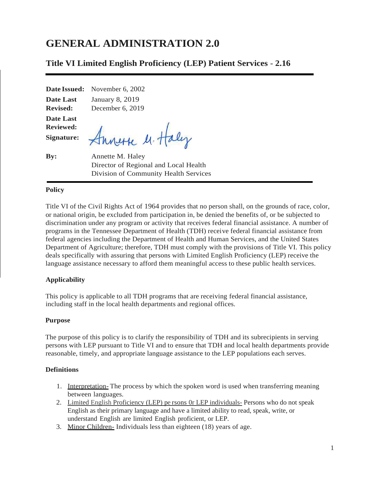# **GENERAL ADMINISTRATION 2.0**

# **Title VI Limited English Proficiency (LEP) Patient Services** - **2.16**

**Date Issued:** November 6, 2002

**Date Last Revised:** January 8, 2019 December 6, 2019

**Date Last Reviewed: Signature:**

Funerse M. Haly

**By:** Annette M. Haley Director of Regional and Local Health Division of Community Health Services

## **Policy**

Title VI of the Civil Rights Act of 1964 provides that no person shall, on the grounds of race, color, or national origin, be excluded from participation in, be denied the benefits of, or be subjected to discrimination under any program or activity that receives federal financial assistance. A number of programs in the Tennessee Department of Health (TDH) receive federal financial assistance from federal agencies including the Department of Health and Human Services, and the United States Department of Agriculture; therefore, TDH must comply with the provisions of Title VI. This policy deals specifically with assuring that persons with Limited English Proficiency (LEP) receive the language assistance necessary to afford them meaningful access to these public health services.

## **Applicability**

This policy is applicable to all TDH programs that are receiving federal financial assistance, including staff in the local health departments and regional offices.

### **Purpose**

The purpose of this policy is to clarify the responsibility of TDH and its subrecipients in serving persons with LEP pursuant to Title VI and to ensure that TDH and local health departments provide reasonable, timely, and appropriate language assistance to the LEP populations each serves.

### **Definitions**

- 1. Interpretation- The process by which the spoken word is used when transferring meaning between languages.
- 2. Limited English Proficiency (LEP) pe rsons 0r LEP individuals- Persons who do not speak English as their primary language and have a limited ability to read, speak, write, or understand English are limited English proficient, or LEP.
- 3. Minor Children- Individuals less than eighteen (18) years of age.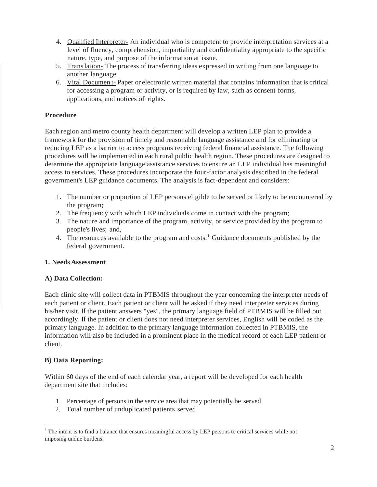- 4. Qualified Interpreter- An individual who is competent to provide interpretation services at a level of fluency, comprehension, impartiality and confidentiality appropriate to the specific nature, type, and purpose of the information at issue.
- 5. Translation- The process of transferring ideas expressed in writing from one language to another language.
- 6. Vital Documen t- Paper or electronic written material that contains information that is critical for accessing a program or activity, or is required by law, such as consent forms, applications, and notices of rights.

## **Procedure**

Each region and metro county health department will develop a written LEP plan to provide a framework for the provision of timely and reasonable language assistance and for eliminating or reducing LEP as a barrier to access programs receiving federal financial assistance. The following procedures will be implemented in each rural public health region. These procedures are designed to determine the appropriate language assistance services to ensure an LEP individual has meaningful access to services. These procedures incorporate the four-factor analysis described in the federal government's LEP guidance documents. The analysis is fact-dependent and considers:

- 1. The number or proportion of LEP persons eligible to be served or likely to be encountered by the program;
- 2. The frequency with which LEP individuals come in contact with the program;
- 3. The nature and importance of the program, activity, or service provided by the program to people's lives; and,
- 4. The resources available to the program and costs.<sup>1</sup> Guidance documents published by the federal government.

## **1. Needs Assessment**

## **A) Data Collection:**

Each clinic site will collect data in PTBMIS throughout the year concerning the interpreter needs of each patient or client. Each patient or client will be asked if they need interpreter services during his/her visit. If the patient answers "yes", the primary language field of PTBMIS will be filled out accordingly. If the patient or client does not need interpreter services, English will be coded as the primary language. In addition to the primary language information collected in PTBMIS, the information will also be included in a prominent place in the medical record of each LEP patient or client.

## **B) Data Reporting:**

Within 60 days of the end of each calendar year, a report will be developed for each health department site that includes:

- 1. Percentage of persons in the service area that may potentially be served
- 2. Total number of unduplicated patients served

<sup>1</sup>The intent is to find a balance that ensures meaningful access by LEP persons to critical services while not imposing undue burdens.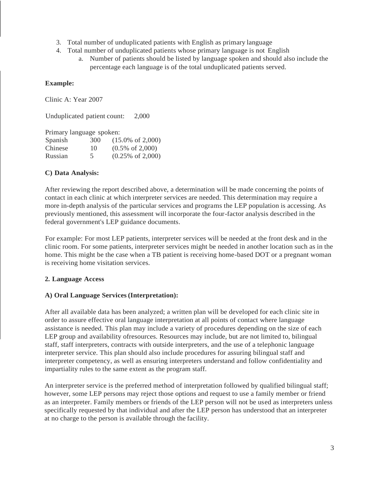- 3. Total number of unduplicated patients with English as primary language
- 4. Total number of unduplicated patients whose primary language is not English
	- a. Number of patients should be listed by language spoken and should also include the percentage each language is of the total unduplicated patients served.

## **Example:**

Clinic A: Year 2007

Unduplicated patient count: 2,000

Primary language spoken:

| Spanish | 30 <sub>0</sub> | $(15.0\% \text{ of } 2,000)$ |
|---------|-----------------|------------------------------|
| Chinese | 10              | $(0.5\% \text{ of } 2,000)$  |
| Russian | 5               | $(0.25\% \text{ of } 2,000)$ |

## **C) Data Analysis:**

After reviewing the report described above, a determination will be made concerning the points of contact in each clinic at which interpreter services are needed. This determination may require a more in-depth analysis of the particular services and programs the LEP population is accessing. As previously mentioned, this assessment will incorporate the four-factor analysis described in the federal government's LEP guidance documents.

For example: For most LEP patients, interpreter services will be needed at the front desk and in the clinic room. For some patients, interpreter services might be needed in another location such as in the home. This might be the case when a TB patient is receiving home-based DOT or a pregnant woman is receiving home visitation services.

# **2. Language Access**

## **A) Oral Language Services (Interpretation):**

After all available data has been analyzed; a written plan will be developed for each clinic site in order to assure effective oral language interpretation at all points of contact where language assistance is needed. This plan may include a variety of procedures depending on the size of each LEP group and availability ofresources. Resources may include, but are not limited to, bilingual staff, staff interpreters, contracts with outside interpreters, and the use of a telephonic language interpreter service. This plan should also include procedures for assuring bilingual staff and interpreter competency, as well as ensuring interpreters understand and follow confidentiality and impartiality rules to the same extent as the program staff.

An interpreter service is the preferred method of interpretation followed by qualified bilingual staff; however, some LEP persons may reject those options and request to use a family member or friend as an interpreter. Family members or friends of the LEP person will not be used as interpreters unless specifically requested by that individual and after the LEP person has understood that an interpreter at no charge to the person is available through the facility.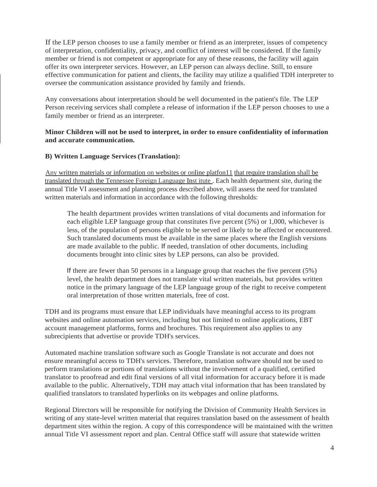If the LEP person chooses to use a family member or friend as an interpreter, issues of competency of interpretation, confidentiality, privacy, and conflict of interest will be considered. If the family member or friend is not competent or appropriate for any of these reasons, the facility will again offer its own interpreter services. However, an LEP person can always decline. Still, to ensure effective communication for patient and clients, the facility may utilize a qualified TDH interpreter to oversee the communication assistance provided by family and friends.

Any conversations about interpretation should be well documented in the patient's file. The LEP Person receiving services shall complete a release of information if the LEP person chooses to use a family member or friend as an interpreter.

## **Minor Children will not be used to interpret, in order to ensure confidentiality of information and accurate communication.**

## **B) Written Language Services (Translation):**

Any written materials or information on websites or online platfon11 that require translation shall be translated through the Tennessee Foreign Language Inst itute . Each health department site, during the annual Title VI assessment and planning process described above, will assess the need for translated written materials and information in accordance with the following thresholds:

The health department provides written translations of vital documents and information for each eligible LEP language group that constitutes five percent (5%) or 1,000, whichever is less, of the population of persons eligible to be served or likely to be affected or encountered. Such translated documents must be available in the same places where the English versions are made available to the public. If needed, translation of other documents, including documents brought into clinic sites by LEP persons, can also be provided.

If there are fewer than 50 persons in a language group that reaches the five percent (5%) level, the health department does not translate vital written materials, but provides written notice in the primary language of the LEP language group of the right to receive competent oral interpretation of those written materials, free of cost.

TDH and its programs must ensure that LEP individuals have meaningful access to its program websites and online automation services, including but not limited to online applications, EBT account management platforms, forms and brochures. This requirement also applies to any subrecipients that advertise or provide TDH's services.

Automated machine translation software such as Google Translate is not accurate and does not ensure meaningful access to TDH's services. Therefore, translation software should not be used to perform translations or portions of translations without the involvement of a qualified, certified translator to proofread and edit final versions of all vital information for accuracy before it is made available to the public. Alternatively, TDH may attach vital information that has been translated by qualified translators to translated hyperlinks on its webpages and online platforms.

Regional Directors will be responsible for notifying the Division of Community Health Services in writing of any state-level written material that requires translation based on the assessment of health department sites within the region. A copy of this correspondence will be maintained with the written annual Title VI assessment report and plan. Central Office staff will assure that statewide written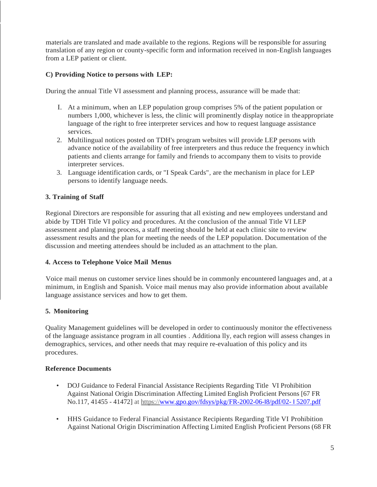materials are translated and made available to the regions. Regions will be responsible for assuring translation of any region or county-specific form and information received in non-English languages from a LEP patient or client.

## **C) Providing Notice to persons with LEP:**

During the annual Title VI assessment and planning process, assurance will be made that:

- I. At a minimum, when an LEP population group comprises 5% of the patient population or numbers 1,000, whichever is less, the clinic will prominently display notice in theappropriate language of the right to free interpreter services and how to request language assistance services.
- 2. Multilingual notices posted on TDH's program websites will provide LEP persons with advance notice of the availability of free interpreters and thus reduce the frequency inwhich patients and clients arrange for family and friends to accompany them to visits to provide interpreter services.
- 3. Language identification cards, or "I Speak Cards", are the mechanism in place for LEP persons to identify language needs.

## **3. Training of Staff**

Regional Directors are responsible for assuring that all existing and new employees understand and abide by TDH Title VI policy and procedures. At the conclusion of the annual Title VI LEP assessment and planning process, a staff meeting should be held at each clinic site to review assessment results and the plan for meeting the needs of the LEP population. Documentation of the discussion and meeting attendees should be included as an attachment to the plan.

## **4. Access to Telephone Voice Mail Menus**

Voice mail menus on customer service lines should be in commonly encountered languages and, at a minimum, in English and Spanish. Voice mail menus may also provide information about available language assistance services and how to get them.

## **5. Monitoring**

Quality Management guidelines will be developed in order to continuously monitor the effectiveness of the language assistance program in all counties . Additiona lly, each region will assess changes in demographics, services, and other needs that may require re-evaluation of this policy and its procedures.

### **Reference Documents**

- DOJ Guidance to Federal Financial Assistance Recipients Regarding Title VI Prohibition Against National Origin Discrimination Affecting Limited English Proficient Persons [67 FR No.117, 41455 - 41472] at https:/[/www.gpo.gov/fdsys/pkg/FR-2002-06-](http://www.gpo.gov/fdsys/pkg/FR-2002-06-I8/pdf/02-%20I%205207.pdf)I8/pdf/02- I 5207.pdf
- HHS Guidance to Federal Financial Assistance Recipients Regarding Title VI Prohibition Against National Origin Discrimination Affecting Limited English Proficient Persons (68 FR